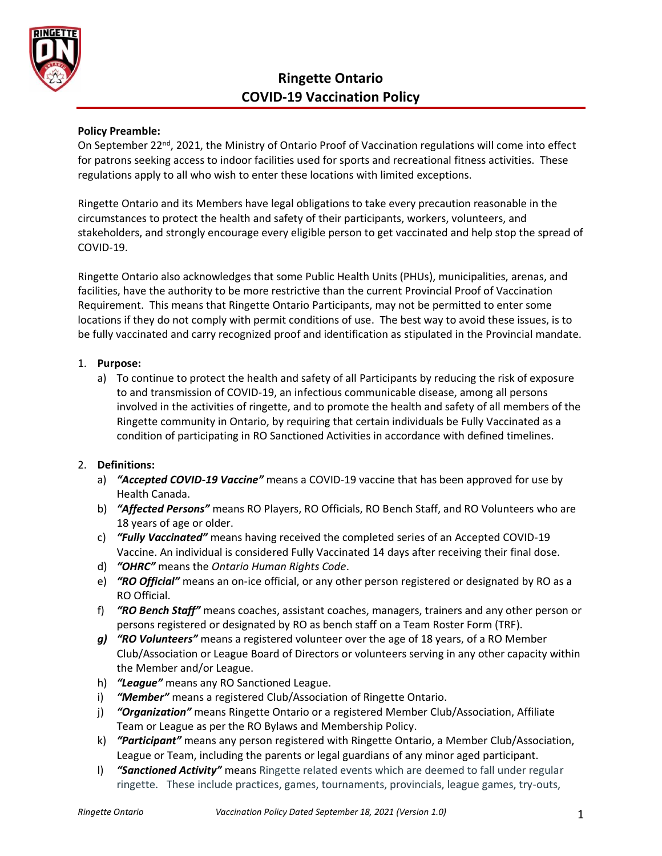

# **Ringette Ontario COVID-19 Vaccination Policy**

## **Policy Preamble:**

On September 22<sup>nd</sup>, 2021, the Ministry of Ontario Proof of Vaccination regulations will come into effect for patrons seeking access to indoor facilities used for sports and recreational fitness activities. These regulations apply to all who wish to enter these locations with limited exceptions.

Ringette Ontario and its Members have legal obligations to take every precaution reasonable in the circumstances to protect the health and safety of their participants, workers, volunteers, and stakeholders, and strongly encourage every eligible person to get vaccinated and help stop the spread of COVID-19.

Ringette Ontario also acknowledges that some Public Health Units (PHUs), municipalities, arenas, and facilities, have the authority to be more restrictive than the current Provincial Proof of Vaccination Requirement. This means that Ringette Ontario Participants, may not be permitted to enter some locations if they do not comply with permit conditions of use. The best way to avoid these issues, is to be fully vaccinated and carry recognized proof and identification as stipulated in the Provincial mandate.

#### 1. **Purpose:**

a) To continue to protect the health and safety of all Participants by reducing the risk of exposure to and transmission of COVID-19, an infectious communicable disease, among all persons involved in the activities of ringette, and to promote the health and safety of all members of the Ringette community in Ontario, by requiring that certain individuals be Fully Vaccinated as a condition of participating in RO Sanctioned Activities in accordance with defined timelines.

#### 2. **Definitions:**

- a) *"Accepted COVID-19 Vaccine"* means a COVID-19 vaccine that has been approved for use by Health Canada.
- b) *"Affected Persons"* means RO Players, RO Officials, RO Bench Staff, and RO Volunteers who are 18 years of age or older.
- c) *"Fully Vaccinated"* means having received the completed series of an Accepted COVID-19 Vaccine. An individual is considered Fully Vaccinated 14 days after receiving their final dose.
- d) *"OHRC"* means the *Ontario Human Rights Code*.
- e) *"RO Official"* means an on-ice official, or any other person registered or designated by RO as a RO Official.
- f) *"RO Bench Staff"* means coaches, assistant coaches, managers, trainers and any other person or persons registered or designated by RO as bench staff on a Team Roster Form (TRF).
- *g) "RO Volunteers"* means a registered volunteer over the age of 18 years, of a RO Member Club/Association or League Board of Directors or volunteers serving in any other capacity within the Member and/or League.
- h) *"League"* means any RO Sanctioned League.
- i) *"Member"* means a registered Club/Association of Ringette Ontario.
- j) *"Organization"* means Ringette Ontario or a registered Member Club/Association, Affiliate Team or League as per the RO Bylaws and Membership Policy.
- k) *"Participant"* means any person registered with Ringette Ontario, a Member Club/Association, League or Team, including the parents or legal guardians of any minor aged participant.
- l) *"Sanctioned Activity"* means Ringette related events which are deemed to fall under regular ringette. These include practices, games, tournaments, provincials, league games, try-outs,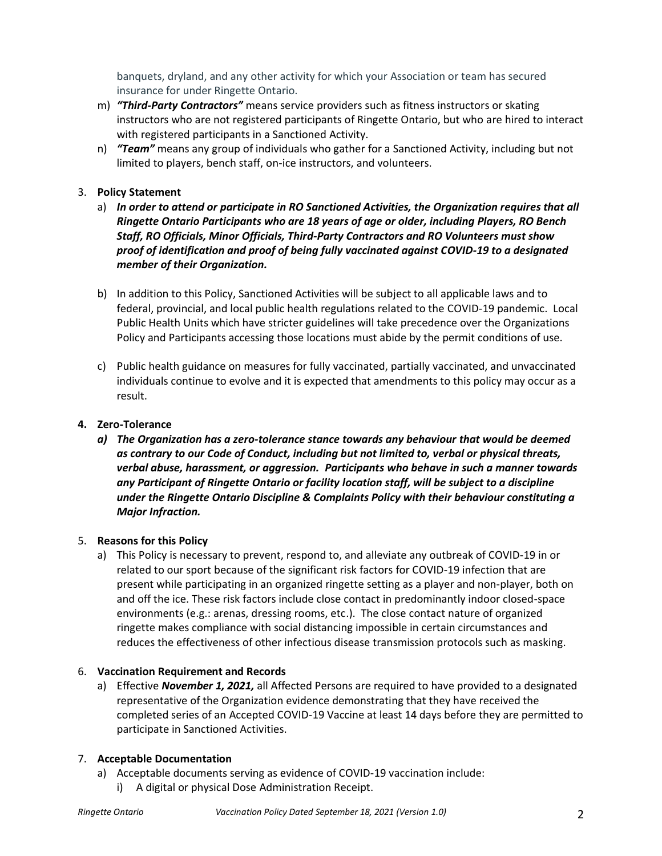banquets, dryland, and any other activity for which your Association or team has secured insurance for under Ringette Ontario.

- m) *"Third-Party Contractors"* means service providers such as fitness instructors or skating instructors who are not registered participants of Ringette Ontario, but who are hired to interact with registered participants in a Sanctioned Activity.
- n) *"Team"* means any group of individuals who gather for a Sanctioned Activity, including but not limited to players, bench staff, on-ice instructors, and volunteers.

## 3. **Policy Statement**

- a) *In order to attend or participate in RO Sanctioned Activities, the Organization requires that all Ringette Ontario Participants who are 18 years of age or older, including Players, RO Bench Staff, RO Officials, Minor Officials, Third-Party Contractors and RO Volunteers must show proof of identification and proof of being fully vaccinated against COVID-19 to a designated member of their Organization.*
- b) In addition to this Policy, Sanctioned Activities will be subject to all applicable laws and to federal, provincial, and local public health regulations related to the COVID-19 pandemic. Local Public Health Units which have stricter guidelines will take precedence over the Organizations Policy and Participants accessing those locations must abide by the permit conditions of use.
- c) Public health guidance on measures for fully vaccinated, partially vaccinated, and unvaccinated individuals continue to evolve and it is expected that amendments to this policy may occur as a result.

## **4. Zero-Tolerance**

*a) The Organization has a zero-tolerance stance towards any behaviour that would be deemed as contrary to our Code of Conduct, including but not limited to, verbal or physical threats, verbal abuse, harassment, or aggression. Participants who behave in such a manner towards any Participant of Ringette Ontario or facility location staff, will be subject to a discipline under the Ringette Ontario Discipline & Complaints Policy with their behaviour constituting a Major Infraction.* 

#### 5. **Reasons for this Policy**

a) This Policy is necessary to prevent, respond to, and alleviate any outbreak of COVID-19 in or related to our sport because of the significant risk factors for COVID-19 infection that are present while participating in an organized ringette setting as a player and non-player, both on and off the ice. These risk factors include close contact in predominantly indoor closed-space environments (e.g.: arenas, dressing rooms, etc.). The close contact nature of organized ringette makes compliance with social distancing impossible in certain circumstances and reduces the effectiveness of other infectious disease transmission protocols such as masking.

#### 6. **Vaccination Requirement and Records**

a) Effective *November 1, 2021,* all Affected Persons are required to have provided to a designated representative of the Organization evidence demonstrating that they have received the completed series of an Accepted COVID-19 Vaccine at least 14 days before they are permitted to participate in Sanctioned Activities.

#### 7. **Acceptable Documentation**

- a) Acceptable documents serving as evidence of COVID-19 vaccination include:
	- i) A digital or physical Dose Administration Receipt.